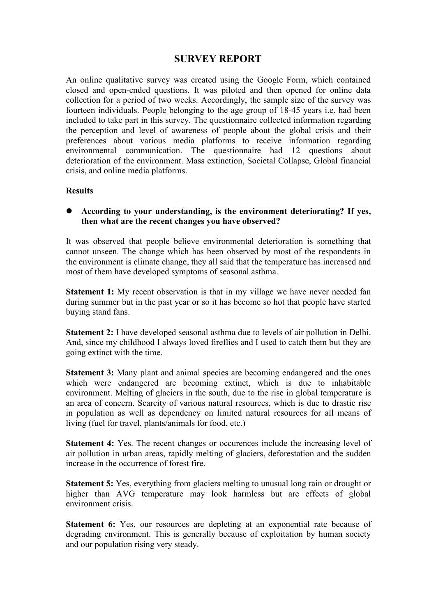# **SURVEY REPORT**

An online qualitative survey was created using the Google Form, which contained closed and open-ended questions. It was piloted and then opened for online data collection for a period of two weeks. Accordingly, the sample size of the survey was fourteen individuals. People belonging to the age group of 18-45 years i.e. had been included to take part in this survey. The questionnaire collected information regarding the perception and level of awareness of people about the global crisis and their preferences about various media platforms to receive information regarding environmental communication. The questionnaire had 12 questions about deterioration of the environment. Mass extinction, Societal Collapse, Global financial crisis, and online media platforms.

### **Results**

 **According to your understanding, is the environment deteriorating? If yes, then what are the recent changes you have observed?**

It was observed that people believe environmental deterioration is something that cannot unseen. The change which has been observed by most of the respondents in the environment is climate change, they all said that the temperature has increased and most of them have developed symptoms of seasonal asthma.

**Statement 1:** My recent observation is that in my village we have never needed fan during summer but in the past year or so it has become so hot that people have started buying stand fans.

**Statement 2:** I have developed seasonal asthma due to levels of air pollution in Delhi. And, since my childhood I always loved fireflies and I used to catch them but they are going extinct with the time.

**Statement 3:** Many plant and animal species are becoming endangered and the ones which were endangered are becoming extinct, which is due to inhabitable environment. Melting of glaciers in the south, due to the rise in global temperature is an area of concern. Scarcity of various natural resources, which is due to drastic rise in population as well as dependency on limited natural resources for all means of living (fuel for travel, plants/animals for food, etc.)

**Statement 4:** Yes. The recent changes or occurences include the increasing level of air pollution in urban areas, rapidly melting of glaciers, deforestation and the sudden increase in the occurrence of forest fire.

**Statement 5:** Yes, everything from glaciers melting to unusual long rain or drought or higher than AVG temperature may look harmless but are effects of global environment crisis.

**Statement 6:** Yes, our resources are depleting at an exponential rate because of degrading environment. This is generally because of exploitation by human society and our population rising very steady.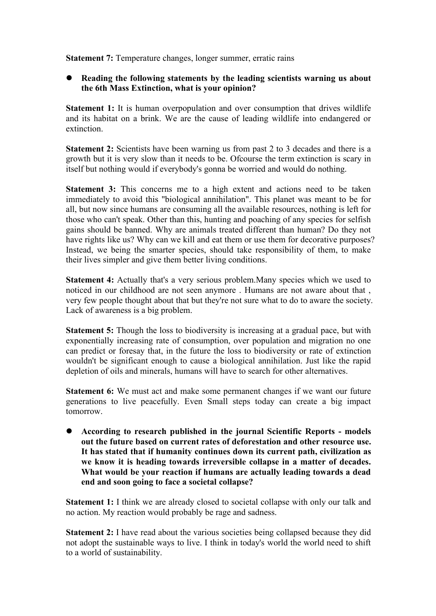**Statement 7:** Temperature changes, longer summer, erratic rains

## **Reading the following statements by the leading scientists warning us about the 6th Mass Extinction, what is your opinion?**

**Statement 1:** It is human overpopulation and over consumption that drives wildlife and its habitat on a brink. We are the cause of leading wildlife into endangered or extinction.

**Statement 2:** Scientists have been warning us from past 2 to 3 decades and there is a growth but it is very slow than it needs to be. Ofcourse the term extinction is scary in itself but nothing would if everybody's gonna be worried and would do nothing.

**Statement 3:** This concerns me to a high extent and actions need to be taken immediately to avoid this "biological annihilation". This planet was meant to be for all, but now since humans are consuming all the available resources, nothing is left for those who can't speak. Other than this, hunting and poaching of any species for selfish gains should be banned.Why are animals treated different than human? Do they not have rights like us? Why can we kill and eat them or use them for decorative purposes? Instead, we being the smarter species, should take responsibility of them, to make their lives simpler and give them better living conditions.

**Statement 4:** Actually that's a very serious problem.Many species which we used to noticed in our childhood are not seen anymore . Humans are not aware about that , very few people thought about that but they're not sure what to do to aware the society. Lack of awareness is a big problem.

**Statement 5:** Though the loss to biodiversity is increasing at a gradual pace, but with exponentially increasing rate of consumption, over population and migration no one can predict or foresay that, in the future the loss to biodiversity or rate of extinction wouldn't be significant enough to cause a biological annihilation. Just like the rapid depletion of oils and minerals, humans will have to search for other alternatives.

**Statement 6:** We must act and make some permanent changes if we want our future generations to live peacefully. Even Small steps today can create a big impact tomorrow.

 **According to research published in the journal Scientific Reports - models out the future based on current rates of deforestation and other resource use. It has stated that if humanity continues down its current path, civilization as we know it is heading towards irreversible collapse in a matter of decades. What would be your reaction if humans are actually leading towards a dead end and soon going to face a societal collapse?**

**Statement 1:** I think we are already closed to societal collapse with only our talk and no action. My reaction would probably be rage and sadness.

**Statement 2:** I have read about the various societies being collapsed because they did not adopt the sustainable ways to live. I think in today's world the world need to shift to a world of sustainability.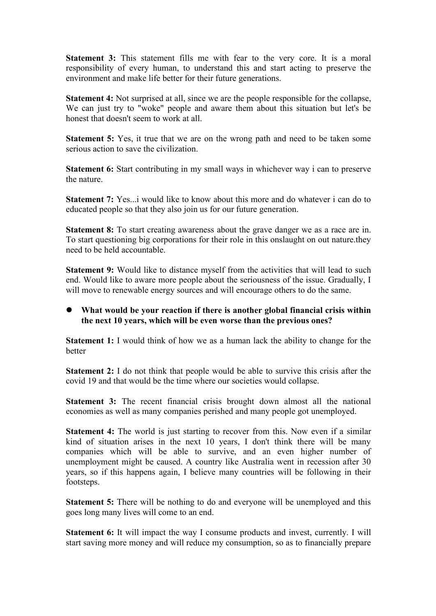**Statement 3:** This statement fills me with fear to the very core. It is a moral responsibility of every human, to understand this and start acting to preserve the environment and make life better for their future generations.

**Statement 4:** Not surprised at all, since we are the people responsible for the collapse, We can just try to "woke" people and aware them about this situation but let's be honest that doesn't seem to work at all.

**Statement 5:** Yes, it true that we are on the wrong path and need to be taken some serious action to save the civilization.

**Statement 6:** Start contributing in my small ways in whichever way i can to preserve the nature.

**Statement 7:** Yes...*i* would like to know about this more and do whatever *i* can do to educated people so that they also join us for our future generation.

**Statement 8:** To start creating awareness about the grave danger we as a race are in. To start questioning big corporations for their role in this onslaught on out nature.they need to be held accountable.

**Statement 9:** Would like to distance myself from the activities that will lead to such end. Would like to aware more people about the seriousness of the issue. Gradually, I will move to renewable energy sources and will encourage others to do the same.

# **What would be your reaction if there is another global financial crisis within the next10 years, which will be even worse than the previous ones?**

**Statement 1:** I would think of how we as a human lack the ability to change for the better

**Statement 2:** I do not think that people would be able to survive this crisis after the covid 19 and that would be the time where our societies would collapse.

**Statement 3:** The recent financial crisis brought down almost all the national economies as well as many companies perished and many people got unemployed.

**Statement 4:** The world is just starting to recover from this. Now even if a similar kind of situation arises in the next 10 years, I don't think there will be many companies which will be able to survive, and an even higher number of unemployment might be caused. A country like Australia went in recession after 30 years, so if this happens again, I believe many countries will be following in their footsteps.

**Statement 5:** There will be nothing to do and everyone will be unemployed and this goes long many liveswill come to an end.

**Statement 6:** It will impact the way I consume products and invest, currently. I will start saving more money and will reduce my consumption, so as to financially prepare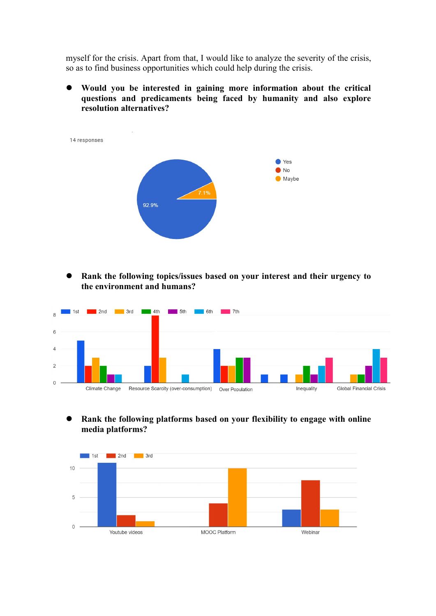myself for the crisis. Apart from that, I would like to analyze the severity of the crisis, so as to find business opportunities which could help during the crisis.

 **Would you be interested in gaining more information about the critical questions and predicaments being faced by humanity and also explore resolution alternatives?**

14 responses ● Yes  $\bullet$  No Maybe 92.9%

 **Rank the following topics/issues based on your interest and their urgency to the environment and humans?**



 **Rank the following platforms based on your flexibility to engage with online media platforms?**

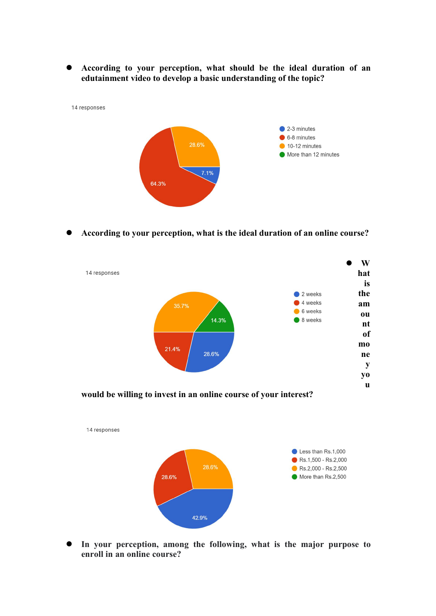**According to your perception, what should be the ideal duration of an edutainment video to develop a basic understanding of the topic?**



**According to your perception, what is the ideal duration of an online course?**



 **In your perception, among the following, what is the major purpose to enroll in an online course?**